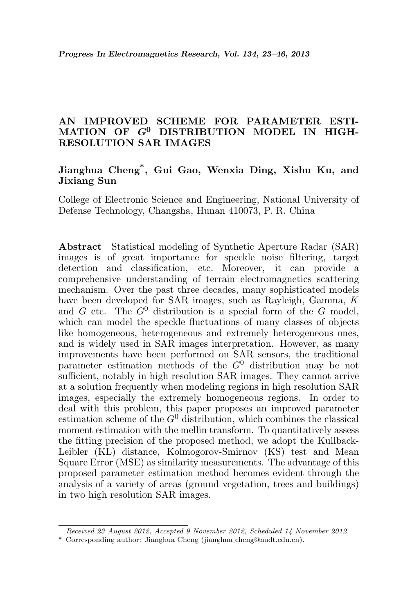# AN IMPROVED SCHEME FOR PARAMETER ESTI-MATION OF  $G^0$  DISTRIBUTION MODEL IN HIGH-RESOLUTION SAR IMAGES

# Jianghua Cheng\* , Gui Gao, Wenxia Ding, Xishu Ku, and Jixiang Sun

College of Electronic Science and Engineering, National University of Defense Technology, Changsha, Hunan 410073, P. R. China

Abstract—Statistical modeling of Synthetic Aperture Radar (SAR) images is of great importance for speckle noise filtering, target detection and classification, etc. Moreover, it can provide a comprehensive understanding of terrain electromagnetics scattering mechanism. Over the past three decades, many sophisticated models have been developed for SAR images, such as Rayleigh, Gamma, K and G etc. The  $G^0$  distribution is a special form of the G model, which can model the speckle fluctuations of many classes of objects like homogeneous, heterogeneous and extremely heterogeneous ones, and is widely used in SAR images interpretation. However, as many improvements have been performed on SAR sensors, the traditional parameter estimation methods of the  $G^0$  distribution may be not sufficient, notably in high resolution SAR images. They cannot arrive at a solution frequently when modeling regions in high resolution SAR images, especially the extremely homogeneous regions. In order to deal with this problem, this paper proposes an improved parameter estimation scheme of the  $G^0$  distribution, which combines the classical moment estimation with the mellin transform. To quantitatively assess the fitting precision of the proposed method, we adopt the Kullback-Leibler (KL) distance, Kolmogorov-Smirnov (KS) test and Mean Square Error (MSE) as similarity measurements. The advantage of this proposed parameter estimation method becomes evident through the analysis of a variety of areas (ground vegetation, trees and buildings) in two high resolution SAR images.

Received 23 August 2012, Accepted 9 November 2012, Scheduled 14 November 2012

<sup>\*</sup> Corresponding author: Jianghua Cheng (jianghua cheng@nudt.edu.cn).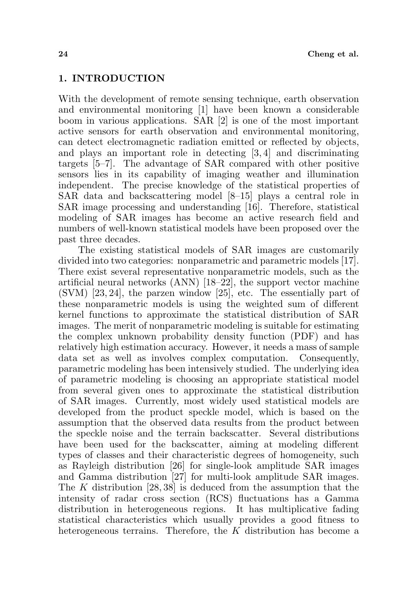### 1. INTRODUCTION

With the development of remote sensing technique, earth observation and environmental monitoring [1] have been known a considerable boom in various applications. SAR [2] is one of the most important active sensors for earth observation and environmental monitoring, can detect electromagnetic radiation emitted or reflected by objects, and plays an important role in detecting [3, 4] and discriminating targets [5–7]. The advantage of SAR compared with other positive sensors lies in its capability of imaging weather and illumination independent. The precise knowledge of the statistical properties of SAR data and backscattering model [8–15] plays a central role in SAR image processing and understanding [16]. Therefore, statistical modeling of SAR images has become an active research field and numbers of well-known statistical models have been proposed over the past three decades.

The existing statistical models of SAR images are customarily divided into two categories: nonparametric and parametric models [17]. There exist several representative nonparametric models, such as the artificial neural networks (ANN) [18–22], the support vector machine (SVM) [23, 24], the parzen window [25], etc. The essentially part of these nonparametric models is using the weighted sum of different kernel functions to approximate the statistical distribution of SAR images. The merit of nonparametric modeling is suitable for estimating the complex unknown probability density function (PDF) and has relatively high estimation accuracy. However, it needs a mass of sample data set as well as involves complex computation. Consequently, parametric modeling has been intensively studied. The underlying idea of parametric modeling is choosing an appropriate statistical model from several given ones to approximate the statistical distribution of SAR images. Currently, most widely used statistical models are developed from the product speckle model, which is based on the assumption that the observed data results from the product between the speckle noise and the terrain backscatter. Several distributions have been used for the backscatter, aiming at modeling different types of classes and their characteristic degrees of homogeneity, such as Rayleigh distribution [26] for single-look amplitude SAR images and Gamma distribution [27] for multi-look amplitude SAR images. The K distribution [28, 38] is deduced from the assumption that the intensity of radar cross section (RCS) fluctuations has a Gamma distribution in heterogeneous regions. It has multiplicative fading statistical characteristics which usually provides a good fitness to heterogeneous terrains. Therefore, the K distribution has become a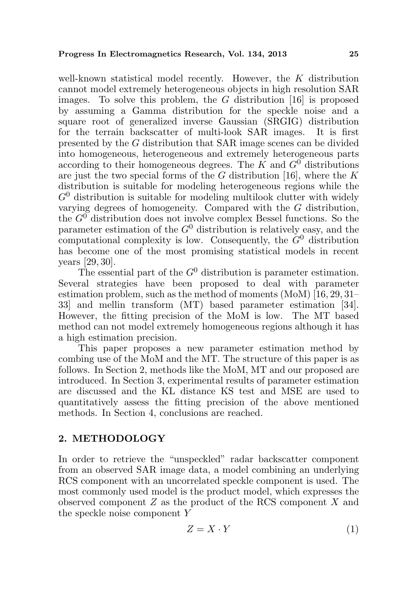well-known statistical model recently. However, the K distribution cannot model extremely heterogeneous objects in high resolution SAR images. To solve this problem, the G distribution [16] is proposed by assuming a Gamma distribution for the speckle noise and a square root of generalized inverse Gaussian (SRGIG) distribution for the terrain backscatter of multi-look SAR images. It is first presented by the G distribution that SAR image scenes can be divided into homogeneous, heterogeneous and extremely heterogeneous parts according to their homogeneous degrees. The K and  $G^0$  distributions are just the two special forms of the  $G$  distribution [16], where the  $K$ distribution is suitable for modeling heterogeneous regions while the  $G^0$  distribution is suitable for modeling multilook clutter with widely varying degrees of homogeneity. Compared with the G distribution, the  $G^0$  distribution does not involve complex Bessel functions. So the parameter estimation of the  $G^0$  distribution is relatively easy, and the computational complexity is low. Consequently, the  $G^0$  distribution has become one of the most promising statistical models in recent years [29, 30].

The essential part of the  $G^0$  distribution is parameter estimation. Several strategies have been proposed to deal with parameter estimation problem, such as the method of moments (MoM) [16, 29, 31– 33] and mellin transform (MT) based parameter estimation [34]. However, the fitting precision of the MoM is low. The MT based method can not model extremely homogeneous regions although it has a high estimation precision.

This paper proposes a new parameter estimation method by combing use of the MoM and the MT. The structure of this paper is as follows. In Section 2, methods like the MoM, MT and our proposed are introduced. In Section 3, experimental results of parameter estimation are discussed and the KL distance KS test and MSE are used to quantitatively assess the fitting precision of the above mentioned methods. In Section 4, conclusions are reached.

# 2. METHODOLOGY

In order to retrieve the "unspeckled" radar backscatter component from an observed SAR image data, a model combining an underlying RCS component with an uncorrelated speckle component is used. The most commonly used model is the product model, which expresses the observed component  $Z$  as the product of the RCS component  $X$  and the speckle noise component Y

$$
Z = X \cdot Y \tag{1}
$$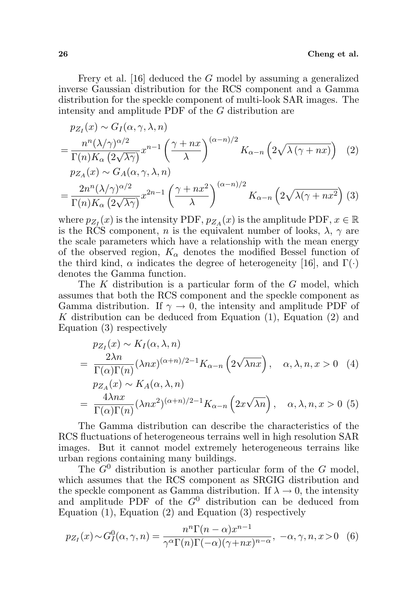Frery et al. [16] deduced the G model by assuming a generalized inverse Gaussian distribution for the RCS component and a Gamma distribution for the speckle component of multi-look SAR images. The intensity and amplitude PDF of the G distribution are

$$
p_{Z_I}(x) \sim G_I(\alpha, \gamma, \lambda, n)
$$
  
= 
$$
\frac{n^n (\lambda/\gamma)^{\alpha/2}}{\Gamma(n) K_\alpha (2\sqrt{\lambda \gamma})} x^{n-1} \left(\frac{\gamma + nx}{\lambda}\right)^{(\alpha - n)/2} K_{\alpha - n} \left(2\sqrt{\lambda (\gamma + nx)}\right)
$$
 (2)  

$$
p_{Z_A}(x) \sim G_A(\alpha, \gamma, \lambda, n)
$$
  
= 
$$
\frac{2n^n (\lambda/\gamma)^{\alpha/2}}{\Gamma(n) K_\alpha (2\sqrt{\lambda \gamma})} x^{2n-1} \left(\frac{\gamma + nx^2}{\lambda}\right)^{(\alpha - n)/2} K_{\alpha - n} \left(2\sqrt{\lambda (\gamma + nx^2}\right)
$$
 (3)

where  $p_{Z_I}(x)$  is the intensity PDF,  $p_{Z_A}(x)$  is the amplitude PDF,  $x \in \mathbb{R}$ is the RCS component, n is the equivalent number of looks,  $\lambda$ ,  $\gamma$  are the scale parameters which have a relationship with the mean energy of the observed region,  $K_{\alpha}$  denotes the modified Bessel function of the third kind,  $\alpha$  indicates the degree of heterogeneity [16], and  $\Gamma(\cdot)$ denotes the Gamma function.

The  $K$  distribution is a particular form of the  $G$  model, which assumes that both the RCS component and the speckle component as Gamma distribution. If  $\gamma \to 0$ , the intensity and amplitude PDF of K distribution can be deduced from Equation  $(1)$ , Equation  $(2)$  and Equation (3) respectively

$$
p_{Z_I}(x) \sim K_I(\alpha, \lambda, n)
$$
  
= 
$$
\frac{2\lambda n}{\Gamma(\alpha)\Gamma(n)} (\lambda nx)^{(\alpha+n)/2-1} K_{\alpha-n} (2\sqrt{\lambda nx}), \quad \alpha, \lambda, n, x > 0 \quad (4)
$$
  

$$
p_{Z_A}(x) \sim K_A(\alpha, \lambda, n)
$$
  
= 
$$
\frac{4\lambda nx}{\Gamma(\alpha)\Gamma(n)} (\lambda nx^2)^{(\alpha+n)/2-1} K_{\alpha-n} (2x\sqrt{\lambda n}), \quad \alpha, \lambda, n, x > 0 \quad (5)
$$

The Gamma distribution can describe the characteristics of the RCS fluctuations of heterogeneous terrains well in high resolution SAR images. But it cannot model extremely heterogeneous terrains like urban regions containing many buildings.

The  $G^0$  distribution is another particular form of the G model, which assumes that the RCS component as SRGIG distribution and the speckle component as Gamma distribution. If  $\lambda \to 0$ , the intensity and amplitude PDF of the  $G^0$  distribution can be deduced from Equation (1), Equation (2) and Equation (3) respectively

$$
p_{Z_I}(x) \sim G_I^0(\alpha, \gamma, n) = \frac{n^n \Gamma(n - \alpha) x^{n-1}}{\gamma^{\alpha} \Gamma(n) \Gamma(-\alpha) (\gamma + nx)^{n-\alpha}}, \ -\alpha, \gamma, n, x > 0 \quad (6)
$$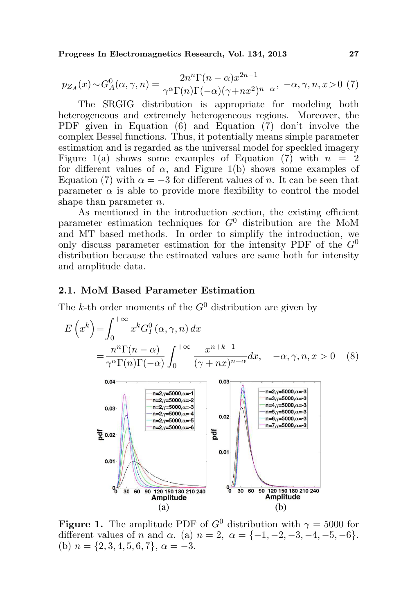Progress In Electromagnetics Research, Vol. 134, 2013 27

$$
p_{Z_A}(x) \sim G_A^0(\alpha, \gamma, n) = \frac{2n^n \Gamma(n - \alpha) x^{2n - 1}}{\gamma^{\alpha} \Gamma(n) \Gamma(-\alpha) (\gamma + n x^2)^{n - \alpha}}, \ -\alpha, \gamma, n, x > 0 \tag{7}
$$

The SRGIG distribution is appropriate for modeling both heterogeneous and extremely heterogeneous regions. Moreover, the PDF given in Equation (6) and Equation (7) don't involve the complex Bessel functions. Thus, it potentially means simple parameter estimation and is regarded as the universal model for speckled imagery Figure 1(a) shows some examples of Equation (7) with  $n = 2$ for different values of  $\alpha$ , and Figure 1(b) shows some examples of Equation (7) with  $\alpha = -3$  for different values of n. It can be seen that parameter  $\alpha$  is able to provide more flexibility to control the model shape than parameter *n*.

As mentioned in the introduction section, the existing efficient parameter estimation techniques for  $G^0$  distribution are the MoM and MT based methods. In order to simplify the introduction, we only discuss parameter estimation for the intensity PDF of the  $G^0$ distribution because the estimated values are same both for intensity and amplitude data.

## 2.1. MoM Based Parameter Estimation

The k-th order moments of the  $G^0$  distribution are given by

$$
E\left(x^{k}\right) = \int_{0}^{+\infty} x^{k} G_{I}^{0}\left(\alpha, \gamma, n\right) dx
$$
  
= 
$$
\frac{n^{n} \Gamma(n - \alpha)}{\gamma^{\alpha} \Gamma(n) \Gamma(-\alpha)} \int_{0}^{+\infty} \frac{x^{n+k-1}}{(\gamma + nx)^{n-\alpha}} dx, \quad -\alpha, \gamma, n, x > 0 \quad (8)
$$



**Figure 1.** The amplitude PDF of  $G^0$  distribution with  $\gamma = 5000$  for different values of n and  $\alpha$ . (a)  $n = 2$ ,  $\alpha = \{-1, -2, -3, -4, -5, -6\}.$ (b)  $n = \{2, 3, 4, 5, 6, 7\}, \alpha = -3.$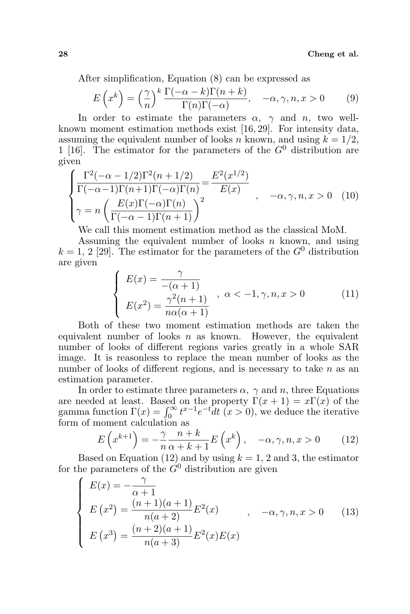After simplification, Equation (8) can be expressed as

$$
E\left(x^{k}\right) = \left(\frac{\gamma}{n}\right)^{k} \frac{\Gamma(-\alpha - k)\Gamma(n + k)}{\Gamma(n)\Gamma(-\alpha)}, \quad -\alpha, \gamma, n, x > 0 \quad (9)
$$

In order to estimate the parameters  $\alpha$ ,  $\gamma$  and n, two wellknown moment estimation methods exist [16, 29]. For intensity data, assuming the equivalent number of looks n known, and using  $k = 1/2$ , 1 [16]. The estimator for the parameters of the  $G^0$  distribution are given

$$
\begin{cases}\n\frac{\Gamma^2(-\alpha - 1/2)\Gamma^2(n + 1/2)}{\Gamma(-\alpha - 1)\Gamma(n + 1)\Gamma(-\alpha)\Gamma(n)} = \frac{E^2(x^{1/2})}{E(x)} \\
\gamma = n \left(\frac{E(x)\Gamma(-\alpha)\Gamma(n)}{\Gamma(-\alpha - 1)\Gamma(n + 1)}\right)^2\n\end{cases}, \quad -\alpha, \gamma, n, x > 0 \quad (10)
$$

We call this moment estimation method as the classical MoM.

Assuming the equivalent number of looks  $n$  known, and using  $k = 1, 2$  [29]. The estimator for the parameters of the  $G^0$  distribution are given  $\overline{a}$ 

$$
\begin{cases}\nE(x) = \frac{\gamma}{-(\alpha+1)} \\
E(x^2) = \frac{\gamma^2(n+1)}{n\alpha(\alpha+1)}\n\end{cases}, \alpha < -1, \gamma, n, x > 0
$$
\n(11)

Both of these two moment estimation methods are taken the equivalent number of looks  $n$  as known. However, the equivalent number of looks of different regions varies greatly in a whole SAR image. It is reasonless to replace the mean number of looks as the number of looks of different regions, and is necessary to take  $n$  as an estimation parameter.

In order to estimate three parameters  $\alpha$ ,  $\gamma$  and n, three Equations are needed at least. Based on the property  $\Gamma(x+1) = x\Gamma(x)$  of the gamma function  $\Gamma(x) = \int_0^\infty t^{x-1}e^{-t}dt$   $(x > 0)$ , we deduce the iterative form of moment calculation as

$$
E\left(x^{k+1}\right) = -\frac{\gamma}{n} \frac{n+k}{\alpha+k+1} E\left(x^k\right), \quad -\alpha, \gamma, n, x > 0 \tag{12}
$$

Based on Equation (12) and by using  $k = 1, 2$  and 3, the estimator for the parameters of the  $\tilde{G}^0$  distribution are given

$$
\begin{cases}\nE(x) = -\frac{\gamma}{\alpha + 1} \\
E(x^2) = \frac{(n+1)(a+1)}{n(a+2)} E^2(x) \\
E(x^3) = \frac{(n+2)(a+1)}{n(a+3)} E^2(x) E(x)\n\end{cases}
$$
\n(13)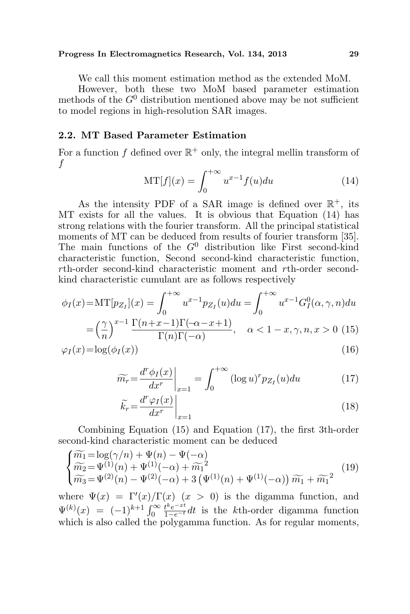#### Progress In Electromagnetics Research, Vol. 134, 2013 29

We call this moment estimation method as the extended MoM.

However, both these two MoM based parameter estimation methods of the  $G^0$  distribution mentioned above may be not sufficient to model regions in high-resolution SAR images.

# 2.2. MT Based Parameter Estimation

For a function f defined over  $\mathbb{R}^+$  only, the integral mellin transform of f

$$
MT[f](x) = \int_0^{+\infty} u^{x-1} f(u) du \qquad (14)
$$

As the intensity PDF of a SAR image is defined over  $\mathbb{R}^+$ , its MT exists for all the values. It is obvious that Equation (14) has strong relations with the fourier transform. All the principal statistical moments of MT can be deduced from results of fourier transform [35]. The main functions of the  $G^0$  distribution like First second-kind characteristic function, Second second-kind characteristic function, rth-order second-kind characteristic moment and rth-order secondkind characteristic cumulant are as follows respectively

$$
\phi_I(x) = \mathbf{M}\mathbf{T}[p_{Z_I}](x) = \int_0^{+\infty} u^{x-1} p_{Z_I}(u) du = \int_0^{+\infty} u^{x-1} G_I^0(\alpha, \gamma, n) du
$$

$$
= \left(\frac{\gamma}{n}\right)^{x-1} \frac{\Gamma(n+x-1)\Gamma(-\alpha-x+1)}{\Gamma(n)\Gamma(-\alpha)}, \quad \alpha < 1-x, \gamma, n, x > 0 \tag{15}
$$

$$
\varphi_I(x) = \log(\phi_I(x))\tag{16}
$$

$$
\widetilde{m_r} = \frac{d^r \phi_I(x)}{dx^r}\bigg|_{x=1} = \int_0^{+\infty} (\log u)^r p_{Z_I}(u) du \tag{17}
$$

$$
\widetilde{k_r} = \frac{d^r \varphi_I(x)}{dx^r} \bigg|_{x=1} \tag{18}
$$

Combining Equation (15) and Equation (17), the first 3th-order second-kind characteristic moment can be deduced

$$
\begin{cases}\n\widetilde{m_1} = \log(\gamma/n) + \Psi(n) - \Psi(-\alpha) \\
\widetilde{m_2} = \Psi^{(1)}(n) + \Psi^{(1)}(-\alpha) + \widetilde{m_1}^2 \\
\widetilde{m_3} = \Psi^{(2)}(n) - \Psi^{(2)}(-\alpha) + 3(\Psi^{(1)}(n) + \Psi^{(1)}(-\alpha))\widetilde{m_1} + \widetilde{m_1}^2\n\end{cases} (19)
$$

where  $\Psi(x) = \Gamma'(x)/\Gamma(x)$   $(x > 0)$  is the digamma function, and where  $\Psi(x) = 1 (x)/1$ <br>  $\Psi^{(k)}(x) = (-1)^{k+1} \int_0^\infty$  $\frac{t^k e^{-xt}}{1-e^{-t}}dt$  is the *k*th-order digamma function which is also called the polygamma function. As for regular moments,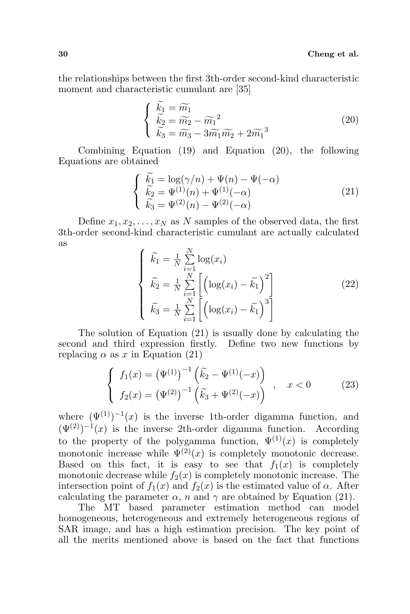the relationships between the first 3th-order second-kind characteristic moment and characteristic cumulant are [35]

$$
\begin{cases}\n\widetilde{k}_1 = \widetilde{m}_1 \\
\widetilde{k}_2 = \widetilde{m}_2 - \widetilde{m}_1^2 \\
\widetilde{k}_3 = \widetilde{m}_3 - 3\widetilde{m}_1 \widetilde{m}_2 + 2\widetilde{m}_1^3\n\end{cases}
$$
\n(20)

Combining Equation (19) and Equation (20), the following Equations are obtained

$$
\begin{cases}\n\widetilde{k}_1 = \log(\gamma/n) + \Psi(n) - \Psi(-\alpha) \\
\widetilde{k}_2 = \Psi^{(1)}(n) + \Psi^{(1)}(-\alpha) \\
\widetilde{k}_3 = \Psi^{(2)}(n) - \Psi^{(2)}(-\alpha)\n\end{cases} (21)
$$

Define  $x_1, x_2, \ldots, x_N$  as N samples of the observed data, the first 3th-order second-kind characteristic cumulant are actually calculated as  $\overline{ }$ 

$$
\begin{cases}\n\widetilde{k}_1 = \frac{1}{N} \sum_{i=1}^N \log(x_i) \\
\widetilde{k}_2 = \frac{1}{N} \sum_{i=1}^N \left[ \left( \log(x_i) - \widetilde{k}_1 \right)^2 \right] \\
\widetilde{k}_3 = \frac{1}{N} \sum_{i=1}^N \left[ \left( \log(x_i) - \widetilde{k}_1 \right)^3 \right]\n\end{cases}
$$
\n(22)

The solution of Equation (21) is usually done by calculating the second and third expression firstly. Define two new functions by replacing  $\alpha$  as x in Equation (21)

$$
\begin{cases}\nf_1(x) = (\Psi^{(1)})^{-1} (\tilde{k}_2 - \Psi^{(1)}(-x)) \\
f_2(x) = (\Psi^{(2)})^{-1} (\tilde{k}_3 + \Psi^{(2)}(-x))\n\end{cases}, \quad x < 0 \tag{23}
$$

where  $(\Psi^{(1)})^{-1}(x)$  is the inverse 1th-order digamma function, and  $(\Psi^{(2)})^{-1}(x)$  is the inverse 2th-order digamma function. According to the property of the polygamma function,  $\Psi^{(1)}(x)$  is completely monotonic increase while  $\Psi^{(2)}(x)$  is completely monotonic decrease. Based on this fact, it is easy to see that  $f_1(x)$  is completely monotonic decrease while  $f_2(x)$  is completely monotonic increase. The intersection point of  $f_1(x)$  and  $f_2(x)$  is the estimated value of  $\alpha$ . After calculating the parameter  $\alpha$ , n and  $\gamma$  are obtained by Equation (21).

The MT based parameter estimation method can model homogeneous, heterogeneous and extremely heterogeneous regions of SAR image, and has a high estimation precision. The key point of all the merits mentioned above is based on the fact that functions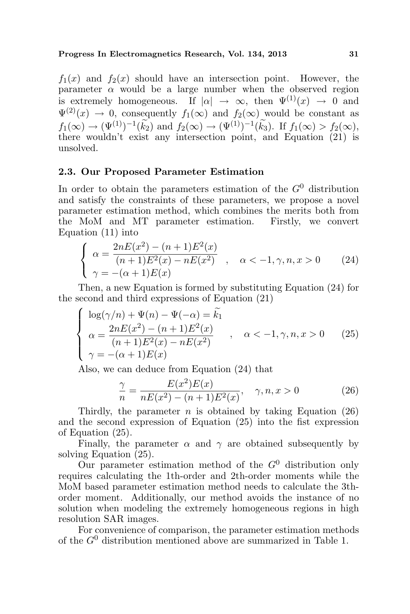### Progress In Electromagnetics Research, Vol. 134, 2013 31

 $f_1(x)$  and  $f_2(x)$  should have an intersection point. However, the parameter  $\alpha$  would be a large number when the observed region is extremely homogeneous. If  $|\alpha| \to \infty$ , then  $\Psi^{(1)}(x) \to 0$  and  $\Psi^{(2)}(x) \to 0$ , consequently  $f_1(\infty)$  and  $f_2(\infty)$  would be constant as  $f_1(\infty) \to (\Psi^{(1)})^{-1}(\widetilde{k_2})$  and  $f_2(\infty) \to (\Psi^{(1)})^{-1}(\widetilde{k_3})$ . If  $f_1(\infty) > f_2(\infty)$ , there wouldn't exist any intersection point, and Equation (21) is unsolved.

# 2.3. Our Proposed Parameter Estimation

In order to obtain the parameters estimation of the  $G^0$  distribution and satisfy the constraints of these parameters, we propose a novel parameter estimation method, which combines the merits both from the MoM and MT parameter estimation. Firstly, we convert Equation (11) into

$$
\begin{cases}\n\alpha = \frac{2nE(x^2) - (n+1)E^2(x)}{(n+1)E^2(x) - nE(x^2)} & , \quad \alpha < -1, \gamma, n, x > 0 \quad (24) \\
\gamma = -(\alpha + 1)E(x)\n\end{cases}
$$

Then, a new Equation is formed by substituting Equation (24) for the second and third expressions of Equation (21)

$$
\begin{cases}\n\log(\gamma/n) + \Psi(n) - \Psi(-\alpha) = \tilde{k_1} \\
\alpha = \frac{2nE(x^2) - (n+1)E^2(x)}{(n+1)E^2(x) - nE(x^2)} \\
\gamma = -(\alpha+1)E(x)\n\end{cases}, \quad \alpha < -1, \gamma, n, x > 0 \quad (25)
$$

Also, we can deduce from Equation (24) that

$$
\frac{\gamma}{n} = \frac{E(x^2)E(x)}{nE(x^2) - (n+1)E^2(x)}, \quad \gamma, n, x > 0
$$
\n(26)

Thirdly, the parameter  $n$  is obtained by taking Equation (26) and the second expression of Equation (25) into the fist expression of Equation (25).

Finally, the parameter  $\alpha$  and  $\gamma$  are obtained subsequently by solving Equation (25).

Our parameter estimation method of the  $G^0$  distribution only requires calculating the 1th-order and 2th-order moments while the MoM based parameter estimation method needs to calculate the 3thorder moment. Additionally, our method avoids the instance of no solution when modeling the extremely homogeneous regions in high resolution SAR images.

For convenience of comparison, the parameter estimation methods of the  $G^0$  distribution mentioned above are summarized in Table 1.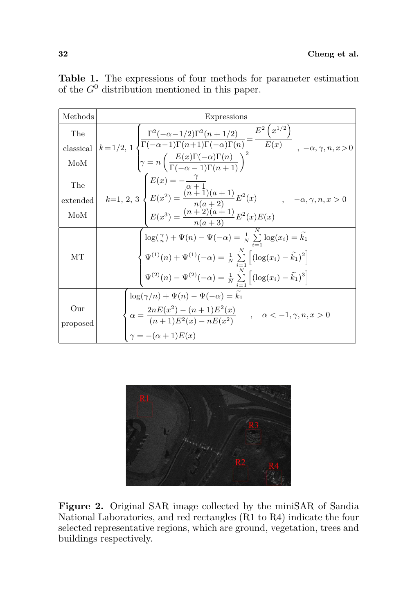| Methods         | Expressions                                                                                                                                                                                                                                                                                                                                                                                                                                                                                                             |
|-----------------|-------------------------------------------------------------------------------------------------------------------------------------------------------------------------------------------------------------------------------------------------------------------------------------------------------------------------------------------------------------------------------------------------------------------------------------------------------------------------------------------------------------------------|
|                 |                                                                                                                                                                                                                                                                                                                                                                                                                                                                                                                         |
|                 |                                                                                                                                                                                                                                                                                                                                                                                                                                                                                                                         |
|                 | $\label{eq:thm:main} \begin{minipage}{0.9\textwidth} {\small \begin{minipage}{0.9\textwidth} \begin{minipage}{0.9\textwidth} \begin{minipage}{0.9\textwidth} \begin{minipage}{0.9\textwidth} \begin{minipage}{0.9\textwidth} \begin{minipage}{0.9\textwidth} \begin{minipage}{0.9\textwidth} \begin{minipage}{0.9\textwidth} \begin{minipage}{0.9\textwidth} \begin{minipage}{0.9\textwidth} \begin{minipage}{0.9\textwidth} \begin{minipage}{0.9\textwidth} \begin{minipage}{0.9\textwidth} \begin{minipage}{0.9\text$ |
| The             |                                                                                                                                                                                                                                                                                                                                                                                                                                                                                                                         |
| extended        |                                                                                                                                                                                                                                                                                                                                                                                                                                                                                                                         |
| MoM             |                                                                                                                                                                                                                                                                                                                                                                                                                                                                                                                         |
|                 |                                                                                                                                                                                                                                                                                                                                                                                                                                                                                                                         |
| MТ              | $\begin{cases} \log(\frac{\gamma}{n}) + \Psi(n) - \Psi(-\alpha) = \frac{1}{N} \sum_{i=1}^{N} \log(x_i) = \widetilde{k_1} \\ \Psi^{(1)}(n) + \Psi^{(1)}(-\alpha) = \frac{1}{N} \sum_{i=1}^{N} \left[ (\log(x_i) - \widetilde{k_1})^2 \right] \\ \Psi^{(2)}(n) - \Psi^{(2)}(-\alpha) = \frac{1}{N} \sum_{i=1}^{N} \left[ (\log(x_i) - \widetilde{k_1})^3 \right] \end{cases}$                                                                                                                                             |
|                 |                                                                                                                                                                                                                                                                                                                                                                                                                                                                                                                         |
|                 | $\log(\gamma/n) + \Psi(n) - \Psi(-\alpha) = k_1$                                                                                                                                                                                                                                                                                                                                                                                                                                                                        |
| Our<br>proposed | $\alpha = \frac{2nE(x^2) - (n+1)E^2(x)}{(n+1)E^2(x) - nE(x^2)}$ , $\alpha < -1, \gamma, n, x > 0$<br>$\gamma = -(\alpha + 1)E(x)$                                                                                                                                                                                                                                                                                                                                                                                       |
|                 |                                                                                                                                                                                                                                                                                                                                                                                                                                                                                                                         |

Table 1. The expressions of four methods for parameter estimation of the  $G^0$  distribution mentioned in this paper.



Figure 2. Original SAR image collected by the miniSAR of Sandia National Laboratories, and red rectangles (R1 to R4) indicate the four selected representative regions, which are ground, vegetation, trees and buildings respectively.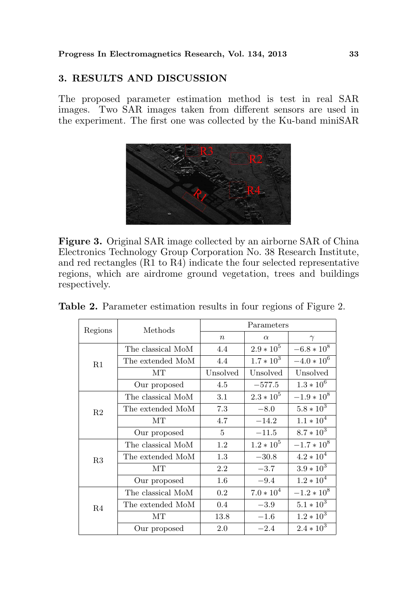# 3. RESULTS AND DISCUSSION

The proposed parameter estimation method is test in real SAR images. Two SAR images taken from different sensors are used in the experiment. The first one was collected by the Ku-band miniSAR



Figure 3. Original SAR image collected by an airborne SAR of China Electronics Technology Group Corporation No. 38 Research Institute, and red rectangles (R1 to R4) indicate the four selected representative regions, which are airdrome ground vegetation, trees and buildings respectively.

| Regions        | Methods           | Parameters       |              |                 |  |
|----------------|-------------------|------------------|--------------|-----------------|--|
|                |                   | $\boldsymbol{n}$ | $\alpha$     | $\gamma$        |  |
|                | The classical MoM | 4.4              | $2.9 * 10^5$ | $-6.8 * 10^8$   |  |
| R1             | The extended MoM  | 4.4              | $1.7 * 10^3$ | $-4.0 * 10^{6}$ |  |
|                | MТ                | Unsolved         | Unsolved     | Unsolved        |  |
|                | Our proposed      | 4.5              | $-577.5$     | $1.3 * 10^{6}$  |  |
|                | The classical MoM | 3.1              | $2.3 * 10^5$ | $-1.9 * 10^8$   |  |
| R <sub>2</sub> | The extended MoM  | 7.3              | $-8.0$       | $5.8 * 10^3$    |  |
|                | MТ                | 4.7              | $-14.2$      | $1.1 * 104$     |  |
|                | Our proposed      | 5                | $-11.5$      | $8.7 * 10^3$    |  |
|                | The classical MoM | 1.2              | $1.2 * 10^5$ | $-1.7 * 108$    |  |
| R3             | The extended MoM  | 1.3              | $-30.8$      | $4.2 * 104$     |  |
|                | MТ                | 2.2              | $-3.7$       | $3.9 * 10^3$    |  |
|                | Our proposed      | $1.6\,$          | $-9.4$       | $1.2 * 104$     |  |
| R <sub>4</sub> | The classical MoM | 0.2              | $7.0 * 104$  | $-1.2 * 10^8$   |  |
|                | The extended MoM  | 0.4              | $-3.9$       | $5.1 * 10^3$    |  |
|                | MТ                | 13.8             | $-1.6$       | $1.2 * 10^3$    |  |
|                | Our proposed      | 2.0              | $-2.4$       | $2.4 * 10^3$    |  |

| Table 2. Parameter estimation results in four regions of Figure 2. |  |  |  |  |  |  |  |  |
|--------------------------------------------------------------------|--|--|--|--|--|--|--|--|
|--------------------------------------------------------------------|--|--|--|--|--|--|--|--|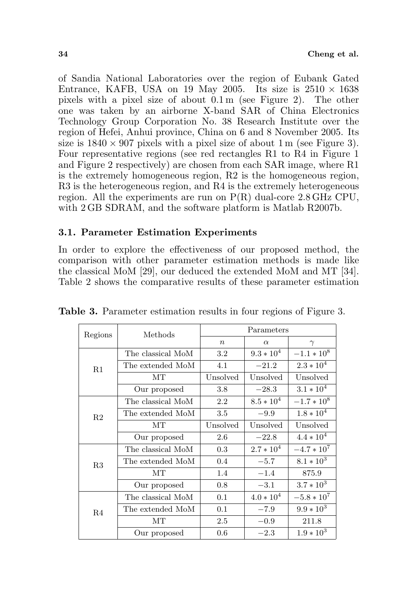of Sandia National Laboratories over the region of Eubank Gated Entrance, KAFB, USA on 19 May 2005. Its size is  $2510 \times 1638$ pixels with a pixel size of about 0.1 m (see Figure 2). The other one was taken by an airborne X-band SAR of China Electronics Technology Group Corporation No. 38 Research Institute over the region of Hefei, Anhui province, China on 6 and 8 November 2005. Its size is  $1840 \times 907$  pixels with a pixel size of about 1 m (see Figure 3). Four representative regions (see red rectangles R1 to R4 in Figure 1 and Figure 2 respectively) are chosen from each SAR image, where R1 is the extremely homogeneous region, R2 is the homogeneous region, R3 is the heterogeneous region, and R4 is the extremely heterogeneous region. All the experiments are run on  $P(R)$  dual-core 2.8 GHz CPU, with 2 GB SDRAM, and the software platform is Matlab R2007b.

# 3.1. Parameter Estimation Experiments

In order to explore the effectiveness of our proposed method, the comparison with other parameter estimation methods is made like the classical MoM [29], our deduced the extended MoM and MT [34]. Table 2 shows the comparative results of these parameter estimation

| Regions | Methods           | Parameters       |              |                 |  |
|---------|-------------------|------------------|--------------|-----------------|--|
|         |                   | $\boldsymbol{n}$ | $\alpha$     | $\gamma$        |  |
|         | The classical MoM | 3.2              | $9.3 * 104$  | $-1.1 * 108$    |  |
| R1      | The extended MoM  | 4.1              | $-21.2$      | $2.3 * 10^{4}$  |  |
|         | MТ                | Unsolved         | Unsolved     | Unsolved        |  |
|         | Our proposed      | 3.8              | $-28.3$      | $3.1 * 104$     |  |
|         | The classical MoM | 2.2              | $8.5 * 10^4$ | $-1.7 * 10^8$   |  |
| R2      | The extended MoM  | 3.5              | $-9.9$       | $1.8 * 10^{4}$  |  |
|         | MТ                | Unsolved         | Unsolved     | Unsolved        |  |
|         | Our proposed      | 2.6              | $-22.8$      | $4.4 * 104$     |  |
|         | The classical MoM | 0.3              | $2.7 * 104$  | $-4.7 * 10^7$   |  |
| R3      | The extended MoM  | 0.4              | $-5.7$       | $8.1 * 10^3$    |  |
|         | <b>MT</b>         | 1.4              | $-1.4$       | 875.9           |  |
|         | Our proposed      | 0.8              | $-3.1$       | $3.7 * 10^3$    |  |
| R4      | The classical MoM | 0.1              | $4.0 * 104$  | $-5.8 * 10^{7}$ |  |
|         | The extended MoM  | 0.1              | $-7.9$       | $9.9 * 10^3$    |  |
|         | MТ                | 2.5              | $-0.9$       | 211.8           |  |
|         | Our proposed      | 0.6              | $-2.3$       | $1.9 * 10^3$    |  |

Table 3. Parameter estimation results in four regions of Figure 3.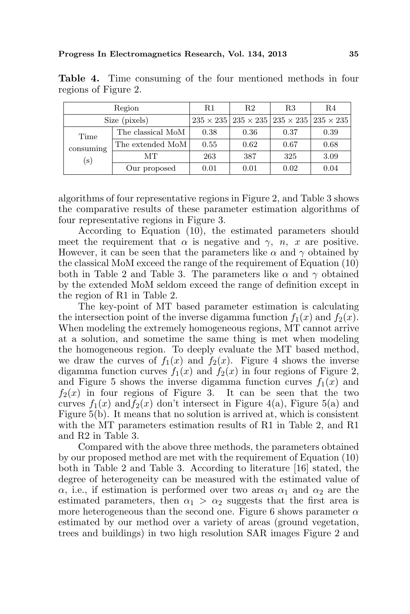|           | Region            | R1   | R <sub>2</sub>                                                            | R3   | R4   |
|-----------|-------------------|------|---------------------------------------------------------------------------|------|------|
|           | Size (pixels)     |      | $235 \times 235$   $235 \times 235$   $235 \times 235$   $235 \times 235$ |      |      |
| Time      | The classical MoM | 0.38 | 0.36                                                                      | 0.37 | 0.39 |
| consuming | The extended MoM  | 0.55 | 0.62                                                                      | 0.67 | 0.68 |
| $(\rm s)$ | MТ                | 263  | 387                                                                       | 325  | 3.09 |
|           | Our proposed      | 0.01 | 0.01                                                                      | 0.02 | 0.04 |

Table 4. Time consuming of the four mentioned methods in four regions of Figure 2.

algorithms of four representative regions in Figure 2, and Table 3 shows the comparative results of these parameter estimation algorithms of four representative regions in Figure 3.

According to Equation (10), the estimated parameters should meet the requirement that  $\alpha$  is negative and  $\gamma$ , n, x are positive. However, it can be seen that the parameters like  $\alpha$  and  $\gamma$  obtained by the classical MoM exceed the range of the requirement of Equation (10) both in Table 2 and Table 3. The parameters like  $\alpha$  and  $\gamma$  obtained by the extended MoM seldom exceed the range of definition except in the region of R1 in Table 2.

The key-point of MT based parameter estimation is calculating the intersection point of the inverse digamma function  $f_1(x)$  and  $f_2(x)$ . When modeling the extremely homogeneous regions, MT cannot arrive at a solution, and sometime the same thing is met when modeling the homogeneous region. To deeply evaluate the MT based method, we draw the curves of  $f_1(x)$  and  $f_2(x)$ . Figure 4 shows the inverse digamma function curves  $f_1(x)$  and  $f_2(x)$  in four regions of Figure 2, and Figure 5 shows the inverse digamma function curves  $f_1(x)$  and  $f_2(x)$  in four regions of Figure 3. It can be seen that the two curves  $f_1(x)$  and  $f_2(x)$  don't intersect in Figure 4(a), Figure 5(a) and Figure 5(b). It means that no solution is arrived at, which is consistent with the MT parameters estimation results of R1 in Table 2, and R1 and R2 in Table 3.

Compared with the above three methods, the parameters obtained by our proposed method are met with the requirement of Equation (10) both in Table 2 and Table 3. According to literature [16] stated, the degree of heterogeneity can be measured with the estimated value of  $\alpha$ , i.e., if estimation is performed over two areas  $\alpha_1$  and  $\alpha_2$  are the estimated parameters, then  $\alpha_1 > \alpha_2$  suggests that the first area is more heterogeneous than the second one. Figure 6 shows parameter  $\alpha$ estimated by our method over a variety of areas (ground vegetation, trees and buildings) in two high resolution SAR images Figure 2 and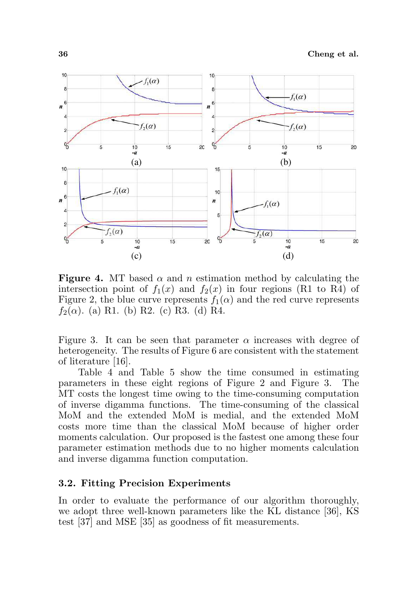

**Figure 4.** MT based  $\alpha$  and n estimation method by calculating the intersection point of  $f_1(x)$  and  $f_2(x)$  in four regions (R1 to R4) of Figure 2, the blue curve represents  $f_1(\alpha)$  and the red curve represents  $f_2(\alpha)$ . (a) R1. (b) R2. (c) R3. (d) R4.

Figure 3. It can be seen that parameter  $\alpha$  increases with degree of heterogeneity. The results of Figure 6 are consistent with the statement of literature [16].

Table 4 and Table 5 show the time consumed in estimating parameters in these eight regions of Figure 2 and Figure 3. The MT costs the longest time owing to the time-consuming computation of inverse digamma functions. The time-consuming of the classical MoM and the extended MoM is medial, and the extended MoM costs more time than the classical MoM because of higher order moments calculation. Our proposed is the fastest one among these four parameter estimation methods due to no higher moments calculation and inverse digamma function computation.

### 3.2. Fitting Precision Experiments

In order to evaluate the performance of our algorithm thoroughly, we adopt three well-known parameters like the KL distance [36], KS test [37] and MSE [35] as goodness of fit measurements.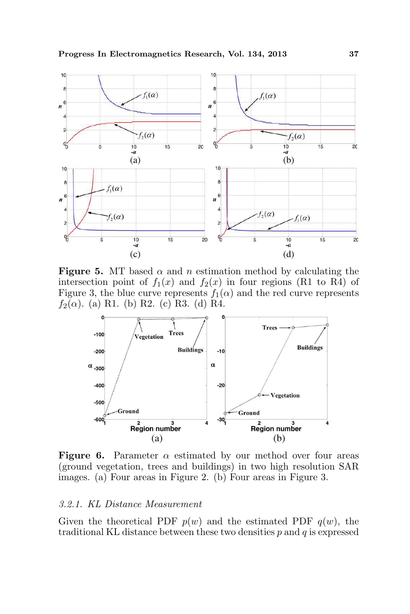

**Figure 5.** MT based  $\alpha$  and n estimation method by calculating the intersection point of  $f_1(x)$  and  $f_2(x)$  in four regions (R1 to R4) of Figure 3, the blue curve represents  $f_1(\alpha)$  and the red curve represents  $f_2(\alpha)$ . (a) R1. (b) R2. (c) R3. (d) R4.



**Figure 6.** Parameter  $\alpha$  estimated by our method over four areas (ground vegetation, trees and buildings) in two high resolution SAR images. (a) Four areas in Figure 2. (b) Four areas in Figure 3.

#### 3.2.1. KL Distance Measurement

Given the theoretical PDF  $p(w)$  and the estimated PDF  $q(w)$ , the traditional KL distance between these two densities  $p$  and  $q$  is expressed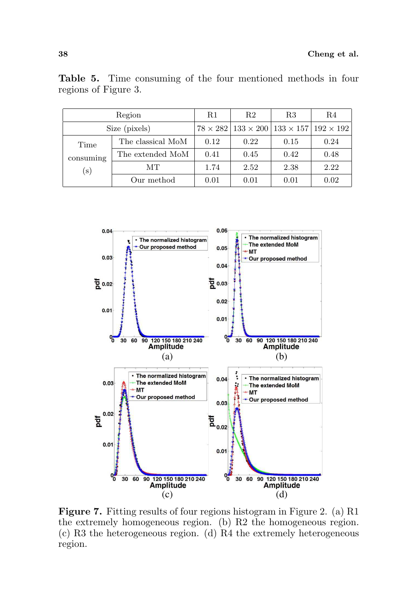|           | Region            | R1   | R2   | R3                                                                       | R4   |
|-----------|-------------------|------|------|--------------------------------------------------------------------------|------|
|           | Size (pixels)     |      |      | $78 \times 282$   $133 \times 200$   $133 \times 157$   $192 \times 192$ |      |
| Time      | The classical MoM | 0.12 | 0.22 | 0.15                                                                     | 0.24 |
| consuming | The extended MoM  | 0.41 | 0.45 | 0.42                                                                     | 0.48 |
| $(\rm s)$ | MТ                | 1.74 | 2.52 | 2.38                                                                     | 2.22 |
|           | Our method        | 0.01 | 0.01 | 0.01                                                                     | 0.02 |

Table 5. Time consuming of the four mentioned methods in four regions of Figure 3.



Figure 7. Fitting results of four regions histogram in Figure 2. (a) R1 the extremely homogeneous region. (b) R2 the homogeneous region. (c) R3 the heterogeneous region. (d) R4 the extremely heterogeneous region.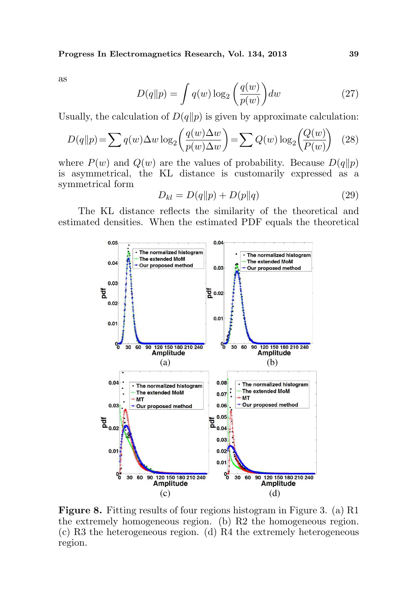as

$$
D(q||p) = \int q(w) \log_2\left(\frac{q(w)}{p(w)}\right) dw \tag{27}
$$

Usually, the calculation of  $D(q||p)$  is given by approximate calculation:

$$
D(q||p) = \sum q(w)\Delta w \log_2\left(\frac{q(w)\Delta w}{p(w)\Delta w}\right) = \sum Q(w) \log_2\left(\frac{Q(w)}{P(w)}\right) \quad (28)
$$

where  $P(w)$  and  $Q(w)$  are the values of probability. Because  $D(q||p)$ is asymmetrical, the KL distance is customarily expressed as a symmetrical form

$$
D_{kl} = D(q||p) + D(p||q)
$$
 (29)

The KL distance reflects the similarity of the theoretical and estimated densities. When the estimated PDF equals the theoretical



Figure 8. Fitting results of four regions histogram in Figure 3. (a) R1 the extremely homogeneous region. (b) R2 the homogeneous region. (c) R3 the heterogeneous region. (d) R4 the extremely heterogeneous region.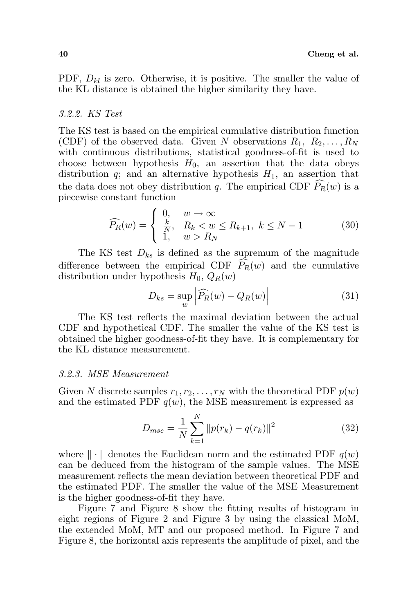PDF,  $D_{kl}$  is zero. Otherwise, it is positive. The smaller the value of the KL distance is obtained the higher similarity they have.

### 3.2.2. KS Test

The KS test is based on the empirical cumulative distribution function (CDF) of the observed data. Given N observations  $R_1, R_2, \ldots, R_N$ with continuous distributions, statistical goodness-of-fit is used to choose between hypothesis  $H_0$ , an assertion that the data obeys distribution q; and an alternative hypothesis  $H_1$ , an assertion that the data does not obey distribution q. The empirical CDF  $\widehat{P}_R(w)$  is a piecewise constant function Ţ

$$
\widehat{P_R}(w) = \begin{cases} 0, & w \to \infty \\ \frac{k}{N}, & R_k < w \le R_{k+1}, \ k \le N-1 \\ 1, & w > R_N \end{cases} \tag{30}
$$

The KS test  $D_{ks}$  is defined as the supremum of the magnitude difference between the empirical CDF  $\widehat{P}_R(w)$  and the cumulative distribution under hypothesis  $H_0$ ,  $Q_R(w)$  $\overline{a}$ 

$$
D_{ks} = \sup_{w} \left| \widehat{P_R}(w) - Q_R(w) \right| \tag{31}
$$

The KS test reflects the maximal deviation between the actual CDF and hypothetical CDF. The smaller the value of the KS test is obtained the higher goodness-of-fit they have. It is complementary for the KL distance measurement.

#### 3.2.3. MSE Measurement

Given N discrete samples  $r_1, r_2, \ldots, r_N$  with the theoretical PDF  $p(w)$ and the estimated PDF  $q(w)$ , the MSE measurement is expressed as

$$
D_{mse} = \frac{1}{N} \sum_{k=1}^{N} ||p(r_k) - q(r_k)||^2
$$
 (32)

where  $\|\cdot\|$  denotes the Euclidean norm and the estimated PDF  $q(w)$ can be deduced from the histogram of the sample values. The MSE measurement reflects the mean deviation between theoretical PDF and the estimated PDF. The smaller the value of the MSE Measurement is the higher goodness-of-fit they have.

Figure 7 and Figure 8 show the fitting results of histogram in eight regions of Figure 2 and Figure 3 by using the classical MoM, the extended MoM, MT and our proposed method. In Figure 7 and Figure 8, the horizontal axis represents the amplitude of pixel, and the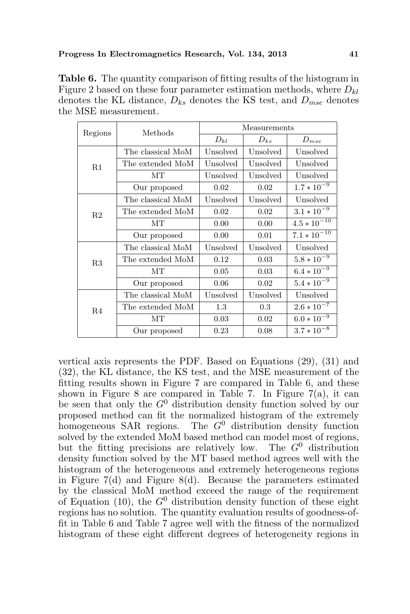Table 6. The quantity comparison of fitting results of the histogram in Figure 2 based on these four parameter estimation methods, where  $D_{kl}$ denotes the KL distance,  $D_{ks}$  denotes the KS test, and  $D_{mse}$  denotes the MSE measurement.

| Regions        | Methods           | Measurements |          |                  |  |
|----------------|-------------------|--------------|----------|------------------|--|
|                |                   | $D_{kl}$     | $D_{ks}$ | $D_{mse}$        |  |
|                | The classical MoM | Unsolved     | Unsolved | Unsolved         |  |
| R1             | The extended MoM  | Unsolved     | Unsolved | Unsolved         |  |
|                | MТ                | Unsolved     | Unsolved | Unsolved         |  |
|                | Our proposed      | 0.02         | 0.02     | $1.7 * 10^{-9}$  |  |
|                | The classical MoM | Unsolved     | Unsolved | Unsolved         |  |
| R <sub>2</sub> | The extended MoM  | 0.02<br>0.02 |          | $3.1 * 10^{-9}$  |  |
|                | MТ                | 0.00         | 0.00     | $4.5 * 10^{-10}$ |  |
|                | Our proposed      | 0.00         | 0.01     | $7.1 * 10^{-10}$ |  |
|                | The classical MoM | Unsolved     | Unsolved | Unsolved         |  |
| R3             | The extended MoM  | 0.12         | 0.03     | $5.8 * 10^{-9}$  |  |
|                | <b>MT</b>         | 0.05         | 0.03     | $6.4 * 10^{-9}$  |  |
|                | Our proposed      | 0.06         | 0.02     | $5.4 * 10^{-9}$  |  |
|                | The classical MoM | Unsolved     | Unsolved | Unsolved         |  |
| R4             | The extended MoM  | 1.3          | 0.3      | $2.6 * 10^{-7}$  |  |
|                | MT                | 0.03         | 0.02     | $6.0 * 10^{-9}$  |  |
|                | Our proposed      | 0.23         | 0.08     | $3.7 * 10^{-8}$  |  |

vertical axis represents the PDF. Based on Equations (29), (31) and (32), the KL distance, the KS test, and the MSE measurement of the fitting results shown in Figure 7 are compared in Table 6, and these shown in Figure 8 are compared in Table 7. In Figure 7(a), it can be seen that only the  $G^0$  distribution density function solved by our proposed method can fit the normalized histogram of the extremely homogeneous SAR regions. The  $G<sup>0</sup>$  distribution density function solved by the extended MoM based method can model most of regions, but the fitting precisions are relatively low. The  $G^0$  distribution density function solved by the MT based method agrees well with the histogram of the heterogeneous and extremely heterogeneous regions in Figure  $7(d)$  and Figure 8(d). Because the parameters estimated by the classical MoM method exceed the range of the requirement of Equation (10), the  $G^0$  distribution density function of these eight regions has no solution. The quantity evaluation results of goodness-offit in Table 6 and Table 7 agree well with the fitness of the normalized histogram of these eight different degrees of heterogeneity regions in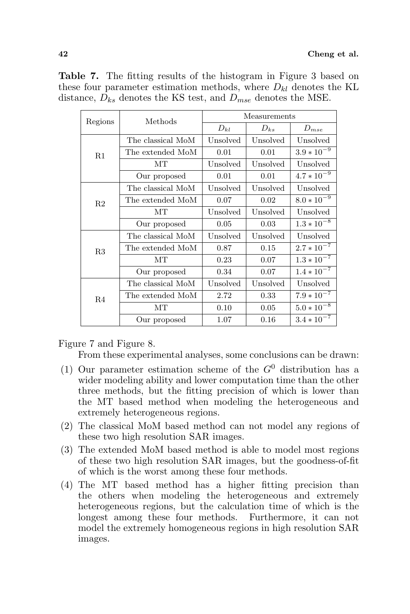| Regions        | Methods           | Measurements |          |                 |  |
|----------------|-------------------|--------------|----------|-----------------|--|
|                |                   | $D_{kl}$     | $D_{ks}$ | $D_{mse}$       |  |
|                | The classical MoM | Unsolved     | Unsolved | Unsolved        |  |
| R1             | The extended MoM  | 0.01         | 0.01     | $3.9 * 10^{-9}$ |  |
|                | MТ                | Unsolved     | Unsolved | Unsolved        |  |
|                | Our proposed      | 0.01         | 0.01     | $4.7 * 10^{-9}$ |  |
|                | The classical MoM | Unsolved     | Unsolved | Unsolved        |  |
| R <sub>2</sub> | The extended MoM  | 0.07         | 0.02     | $8.0 * 10^{-9}$ |  |
|                | MТ                | Unsolved     | Unsolved | Unsolved        |  |
|                | Our proposed      | 0.05         | 0.03     | $1.3 * 10^{-8}$ |  |
|                | The classical MoM | Unsolved     | Unsolved | Unsolved        |  |
| R3             | The extended MoM  | 0.87         | 0.15     | $2.7 * 10^{-7}$ |  |
|                | MТ                | 0.23         | 0.07     | $1.3 * 10^{-7}$ |  |
|                | Our proposed      | 0.34         | 0.07     | $1.4 * 10^{-7}$ |  |
| R4             | The classical MoM | Unsolved     | Unsolved | Unsolved        |  |
|                | The extended MoM  | 2.72         | 0.33     | $7.9 * 10^{-7}$ |  |
|                | MТ                | 0.10         | 0.05     | $5.0 * 10^{-8}$ |  |
|                | Our proposed      | 1.07         | 0.16     | $3.4 * 10^{-7}$ |  |

Table 7. The fitting results of the histogram in Figure 3 based on these four parameter estimation methods, where  $D_{kl}$  denotes the KL distance,  $D_{ks}$  denotes the KS test, and  $D_{mse}$  denotes the MSE.

Figure 7 and Figure 8.

From these experimental analyses, some conclusions can be drawn:

- (1) Our parameter estimation scheme of the  $G^0$  distribution has a wider modeling ability and lower computation time than the other three methods, but the fitting precision of which is lower than the MT based method when modeling the heterogeneous and extremely heterogeneous regions.
- (2) The classical MoM based method can not model any regions of these two high resolution SAR images.
- (3) The extended MoM based method is able to model most regions of these two high resolution SAR images, but the goodness-of-fit of which is the worst among these four methods.
- (4) The MT based method has a higher fitting precision than the others when modeling the heterogeneous and extremely heterogeneous regions, but the calculation time of which is the longest among these four methods. Furthermore, it can not model the extremely homogeneous regions in high resolution SAR images.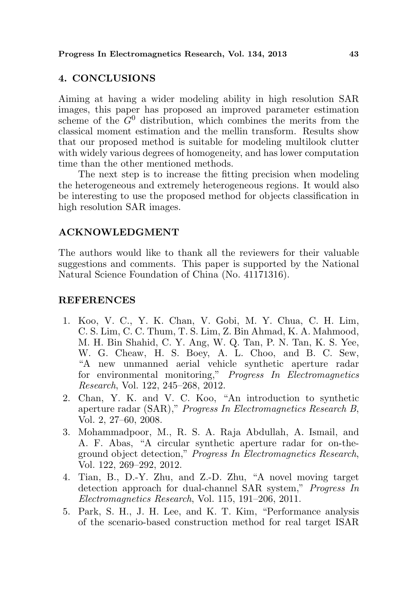# 4. CONCLUSIONS

Aiming at having a wider modeling ability in high resolution SAR images, this paper has proposed an improved parameter estimation scheme of the  $G^0$  distribution, which combines the merits from the classical moment estimation and the mellin transform. Results show that our proposed method is suitable for modeling multilook clutter with widely various degrees of homogeneity, and has lower computation time than the other mentioned methods.

The next step is to increase the fitting precision when modeling the heterogeneous and extremely heterogeneous regions. It would also be interesting to use the proposed method for objects classification in high resolution SAR images.

## ACKNOWLEDGMENT

The authors would like to thank all the reviewers for their valuable suggestions and comments. This paper is supported by the National Natural Science Foundation of China (No. 41171316).

## REFERENCES

- 1. Koo, V. C., Y. K. Chan, V. Gobi, M. Y. Chua, C. H. Lim, C. S. Lim, C. C. Thum, T. S. Lim, Z. Bin Ahmad, K. A. Mahmood, M. H. Bin Shahid, C. Y. Ang, W. Q. Tan, P. N. Tan, K. S. Yee, W. G. Cheaw, H. S. Boey, A. L. Choo, and B. C. Sew, "A new unmanned aerial vehicle synthetic aperture radar for environmental monitoring," Progress In Electromagnetics Research, Vol. 122, 245–268, 2012.
- 2. Chan, Y. K. and V. C. Koo, "An introduction to synthetic aperture radar (SAR)," Progress In Electromagnetics Research B, Vol. 2, 27–60, 2008.
- 3. Mohammadpoor, M., R. S. A. Raja Abdullah, A. Ismail, and A. F. Abas, "A circular synthetic aperture radar for on-theground object detection," Progress In Electromagnetics Research, Vol. 122, 269–292, 2012.
- 4. Tian, B., D.-Y. Zhu, and Z.-D. Zhu, "A novel moving target detection approach for dual-channel SAR system," Progress In Electromagnetics Research, Vol. 115, 191–206, 2011.
- 5. Park, S. H., J. H. Lee, and K. T. Kim, "Performance analysis of the scenario-based construction method for real target ISAR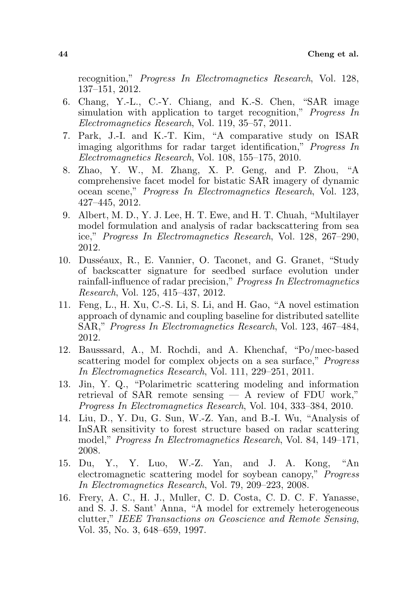recognition," Progress In Electromagnetics Research, Vol. 128, 137–151, 2012.

- 6. Chang, Y.-L., C.-Y. Chiang, and K.-S. Chen, "SAR image simulation with application to target recognition," Progress In Electromagnetics Research, Vol. 119, 35–57, 2011.
- 7. Park, J.-I. and K.-T. Kim, "A comparative study on ISAR imaging algorithms for radar target identification," Progress In Electromagnetics Research, Vol. 108, 155–175, 2010.
- 8. Zhao, Y. W., M. Zhang, X. P. Geng, and P. Zhou, "A comprehensive facet model for bistatic SAR imagery of dynamic ocean scene," Progress In Electromagnetics Research, Vol. 123, 427–445, 2012.
- 9. Albert, M. D., Y. J. Lee, H. T. Ewe, and H. T. Chuah, "Multilayer model formulation and analysis of radar backscattering from sea ice," Progress In Electromagnetics Research, Vol. 128, 267–290, 2012.
- 10. Dusséaux, R., E. Vannier, O. Taconet, and G. Granet, "Study of backscatter signature for seedbed surface evolution under rainfall-influence of radar precision," Progress In Electromagnetics Research, Vol. 125, 415–437, 2012.
- 11. Feng, L., H. Xu, C.-S. Li, S. Li, and H. Gao, "A novel estimation approach of dynamic and coupling baseline for distributed satellite SAR," Progress In Electromagnetics Research, Vol. 123, 467–484, 2012.
- 12. Bausssard, A., M. Rochdi, and A. Khenchaf, "Po/mec-based scattering model for complex objects on a sea surface," *Progress* In Electromagnetics Research, Vol. 111, 229–251, 2011.
- 13. Jin, Y. Q., "Polarimetric scattering modeling and information retrieval of SAR remote sensing — A review of FDU work," Progress In Electromagnetics Research, Vol. 104, 333–384, 2010.
- 14. Liu, D., Y. Du, G. Sun, W.-Z. Yan, and B.-I. Wu, "Analysis of InSAR sensitivity to forest structure based on radar scattering model," Progress In Electromagnetics Research, Vol. 84, 149–171, 2008.
- 15. Du, Y., Y. Luo, W.-Z. Yan, and J. A. Kong, "An electromagnetic scattering model for soybean canopy," Progress In Electromagnetics Research, Vol. 79, 209–223, 2008.
- 16. Frery, A. C., H. J., Muller, C. D. Costa, C. D. C. F. Yanasse, and S. J. S. Sant' Anna, "A model for extremely heterogeneous clutter," IEEE Transactions on Geoscience and Remote Sensing, Vol. 35, No. 3, 648–659, 1997.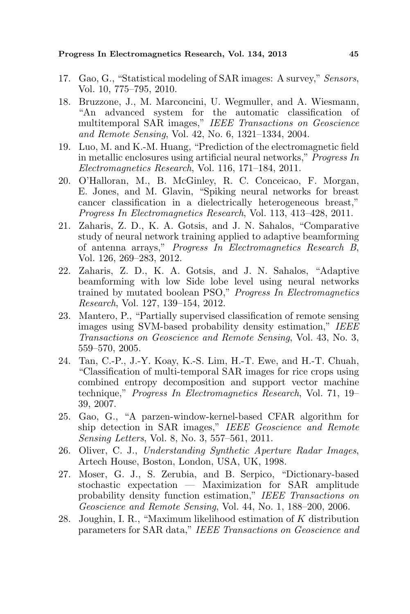Progress In Electromagnetics Research, Vol. 134, 2013 45

- 17. Gao, G., "Statistical modeling of SAR images: A survey," Sensors, Vol. 10, 775–795, 2010.
- 18. Bruzzone, J., M. Marconcini, U. Wegmuller, and A. Wiesmann, "An advanced system for the automatic classification of multitemporal SAR images," IEEE Transactions on Geoscience and Remote Sensing, Vol. 42, No. 6, 1321–1334, 2004.
- 19. Luo, M. and K.-M. Huang, "Prediction of the electromagnetic field in metallic enclosures using artificial neural networks," Progress In Electromagnetics Research, Vol. 116, 171–184, 2011.
- 20. O'Halloran, M., B. McGinley, R. C. Conceicao, F. Morgan, E. Jones, and M. Glavin, "Spiking neural networks for breast cancer classification in a dielectrically heterogeneous breast," Progress In Electromagnetics Research, Vol. 113, 413–428, 2011.
- 21. Zaharis, Z. D., K. A. Gotsis, and J. N. Sahalos, "Comparative study of neural network training applied to adaptive beamforming of antenna arrays," Progress In Electromagnetics Research B, Vol. 126, 269–283, 2012.
- 22. Zaharis, Z. D., K. A. Gotsis, and J. N. Sahalos, "Adaptive beamforming with low Side lobe level using neural networks trained by mutated boolean PSO," Progress In Electromagnetics Research, Vol. 127, 139–154, 2012.
- 23. Mantero, P., "Partially supervised classification of remote sensing images using SVM-based probability density estimation," IEEE Transactions on Geoscience and Remote Sensing, Vol. 43, No. 3, 559–570, 2005.
- 24. Tan, C.-P., J.-Y. Koay, K.-S. Lim, H.-T. Ewe, and H.-T. Chuah, "Classification of multi-temporal SAR images for rice crops using combined entropy decomposition and support vector machine technique," Progress In Electromagnetics Research, Vol. 71, 19– 39, 2007.
- 25. Gao, G., "A parzen-window-kernel-based CFAR algorithm for ship detection in SAR images," IEEE Geoscience and Remote Sensing Letters, Vol. 8, No. 3, 557–561, 2011.
- 26. Oliver, C. J., Understanding Synthetic Aperture Radar Images, Artech House, Boston, London, USA, UK, 1998.
- 27. Moser, G. J., S. Zerubia, and B. Serpico, "Dictionary-based stochastic expectation — Maximization for SAR amplitude probability density function estimation," IEEE Transactions on Geoscience and Remote Sensing, Vol. 44, No. 1, 188–200, 2006.
- 28. Joughin, I. R., "Maximum likelihood estimation of K distribution parameters for SAR data," IEEE Transactions on Geoscience and